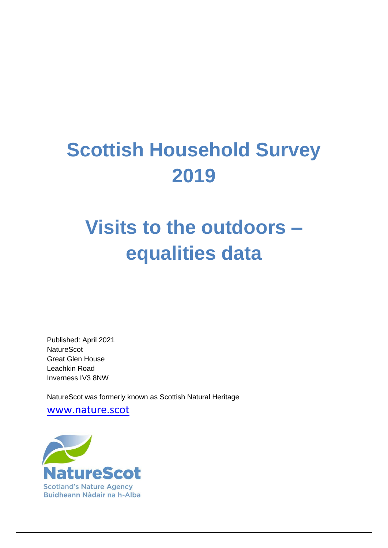# **Scottish Household Survey 2019**

# **Visits to the outdoors – equalities data**

Published: April 2021 **NatureScot** Great Glen House Leachkin Road Inverness IV3 8NW

NatureScot was formerly known as Scottish Natural Heritage

[www.nature.scot](file:///C:/Users/Owner/Documents/www.nature.scot)

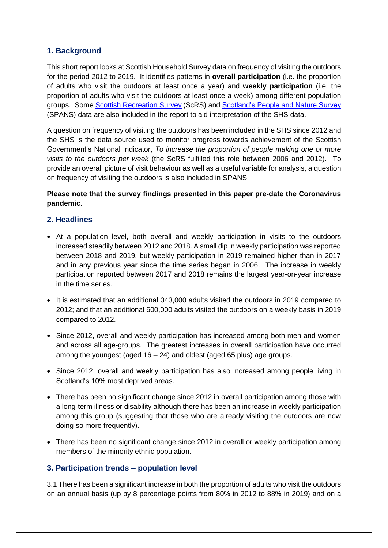### **1. Background**

This short report looks at Scottish Household Survey data on frequency of visiting the outdoors for the period 2012 to 2019. It identifies patterns in **overall participation** (i.e. the proportion of adults who visit the outdoors at least once a year) and **weekly participation** (i.e. the proportion of adults who visit the outdoors at least once a week) among different population groups. Some [Scottish Recreation Survey](https://www.nature.scot/snh-commissioned-report-604-scottish-recreation-survey-annual-summary-report-2012) (ScRS) and [Scotland's People and Nature Survey](https://www.nature.scot/naturescot-research-report-1227-scotlands-people-and-nature-survey-201920-outdoor-recreation-health) (SPANS) data are also included in the report to aid interpretation of the SHS data.

A question on frequency of visiting the outdoors has been included in the SHS since 2012 and the SHS is the data source used to monitor progress towards achievement of the Scottish Government's National Indicator, *To increase the proportion of people making one or more visits to the outdoors per week* (the ScRS fulfilled this role between 2006 and 2012). To provide an overall picture of visit behaviour as well as a useful variable for analysis, a question on frequency of visiting the outdoors is also included in SPANS.

#### **Please note that the survey findings presented in this paper pre-date the Coronavirus pandemic.**

#### **2. Headlines**

- At a population level, both overall and weekly participation in visits to the outdoors increased steadily between 2012 and 2018. A small dip in weekly participation was reported between 2018 and 2019, but weekly participation in 2019 remained higher than in 2017 and in any previous year since the time series began in 2006. The increase in weekly participation reported between 2017 and 2018 remains the largest year-on-year increase in the time series.
- It is estimated that an additional 343,000 adults visited the outdoors in 2019 compared to 2012; and that an additional 600,000 adults visited the outdoors on a weekly basis in 2019 compared to 2012.
- Since 2012, overall and weekly participation has increased among both men and women and across all age-groups. The greatest increases in overall participation have occurred among the youngest (aged 16 – 24) and oldest (aged 65 plus) age groups.
- Since 2012, overall and weekly participation has also increased among people living in Scotland's 10% most deprived areas.
- There has been no significant change since 2012 in overall participation among those with a long-term illness or disability although there has been an increase in weekly participation among this group (suggesting that those who are already visiting the outdoors are now doing so more frequently).
- There has been no significant change since 2012 in overall or weekly participation among members of the minority ethnic population.

#### **3. Participation trends – population level**

3.1 There has been a significant increase in both the proportion of adults who visit the outdoors on an annual basis (up by 8 percentage points from 80% in 2012 to 88% in 2019) and on a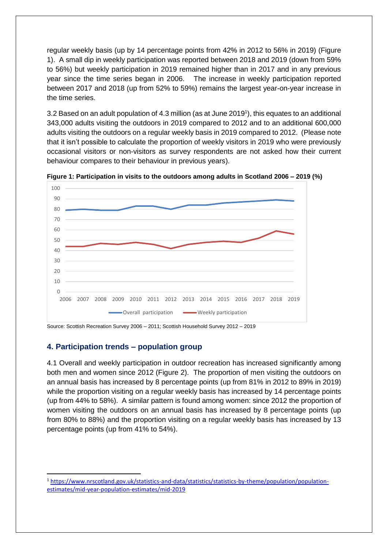regular weekly basis (up by 14 percentage points from 42% in 2012 to 56% in 2019) (Figure 1). A small dip in weekly participation was reported between 2018 and 2019 (down from 59% to 56%) but weekly participation in 2019 remained higher than in 2017 and in any previous year since the time series began in 2006. The increase in weekly participation reported between 2017 and 2018 (up from 52% to 59%) remains the largest year-on-year increase in the time series.

3.2 Based on an adult population of 4.3 million (as at June 2019 1 ), this equates to an additional 343,000 adults visiting the outdoors in 2019 compared to 2012 and to an additional 600,000 adults visiting the outdoors on a regular weekly basis in 2019 compared to 2012. (Please note that it isn't possible to calculate the proportion of weekly visitors in 2019 who were previously occasional visitors or non-visitors as survey respondents are not asked how their current behaviour compares to their behaviour in previous years).



**Figure 1: Participation in visits to the outdoors among adults in Scotland 2006 – 2019 (%)**

Source: Scottish Recreation Survey 2006 – 2011; Scottish Household Survey 2012 – 2019

## **4. Participation trends – population group**

**.** 

4.1 Overall and weekly participation in outdoor recreation has increased significantly among both men and women since 2012 (Figure 2). The proportion of men visiting the outdoors on an annual basis has increased by 8 percentage points (up from 81% in 2012 to 89% in 2019) while the proportion visiting on a regular weekly basis has increased by 14 percentage points (up from 44% to 58%). A similar pattern is found among women: since 2012 the proportion of women visiting the outdoors on an annual basis has increased by 8 percentage points (up from 80% to 88%) and the proportion visiting on a regular weekly basis has increased by 13 percentage points (up from 41% to 54%).

<sup>1</sup> [https://www.nrscotland.gov.uk/statistics-and-data/statistics/statistics-by-theme/population/population](https://www.nrscotland.gov.uk/statistics-and-data/statistics/statistics-by-theme/population/population-estimates/mid-year-population-estimates/mid-2019)[estimates/mid-year-population-estimates/mid-2019](https://www.nrscotland.gov.uk/statistics-and-data/statistics/statistics-by-theme/population/population-estimates/mid-year-population-estimates/mid-2019)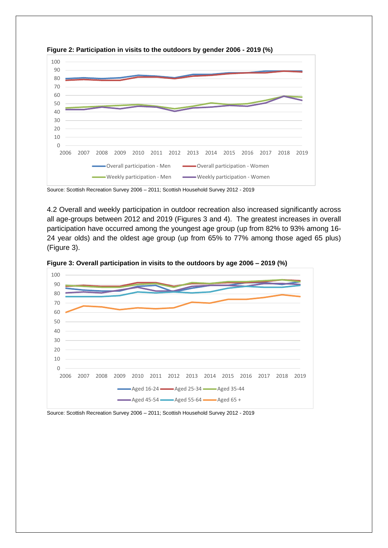

**Figure 2: Participation in visits to the outdoors by gender 2006 - 2019 (%)**



4.2 Overall and weekly participation in outdoor recreation also increased significantly across all age-groups between 2012 and 2019 (Figures 3 and 4). The greatest increases in overall participation have occurred among the youngest age group (up from 82% to 93% among 16- 24 year olds) and the oldest age group (up from 65% to 77% among those aged 65 plus) (Figure 3).





Source: Scottish Recreation Survey 2006 – 2011; Scottish Household Survey 2012 - 2019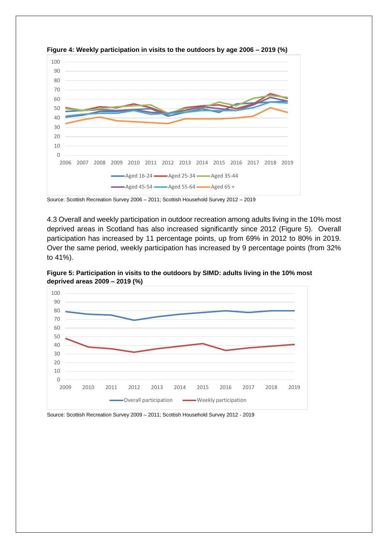

**Figure 4: Weekly participation in visits to the outdoors by age 2006 – 2019 (%)**

Source: Scottish Recreation Survey 2006 – 2011; Scottish Household Survey 2012 – 2019

4.3 Overall and weekly participation in outdoor recreation among adults living in the 10% most deprived areas in Scotland has also increased significantly since 2012 (Figure 5). Overall participation has increased by 11 percentage points, up from 69% in 2012 to 80% in 2019. Over the same period, weekly participation has increased by 9 percentage points (from 32% to 41%).



**Figure 5: Participation in visits to the outdoors by SIMD: adults living in the 10% most deprived areas 2009 – 2019 (%)**

Source: Scottish Recreation Survey 2009 – 2011; Scottish Household Survey 2012 - 2019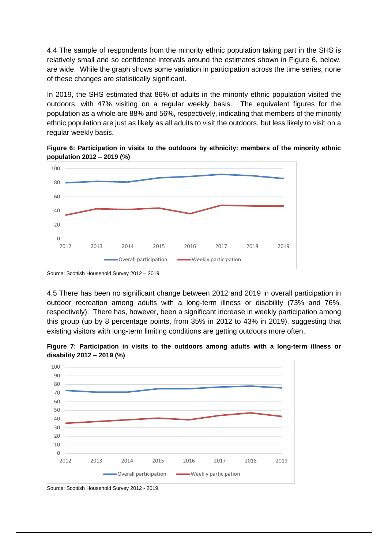4.4 The sample of respondents from the minority ethnic population taking part in the SHS is relatively small and so confidence intervals around the estimates shown in Figure 6, below, are wide. While the graph shows some variation in participation across the time series, none of these changes are statistically significant.

In 2019, the SHS estimated that 86% of adults in the minority ethnic population visited the outdoors, with 47% visiting on a regular weekly basis. The equivalent figures for the population as a whole are 88% and 56%, respectively, indicating that members of the minority ethnic population are just as likely as all adults to visit the outdoors, but less likely to visit on a regular weekly basis.





Source: Scottish Household Survey 2012 – 2019

4.5 There has been no significant change between 2012 and 2019 in overall participation in outdoor recreation among adults with a long-term illness or disability (73% and 76%, respectively). There has, however, been a significant increase in weekly participation among this group (up by 8 percentage points, from 35% in 2012 to 43% in 2019), suggesting that existing visitors with long-term limiting conditions are getting outdoors more often.

**Figure 7: Participation in visits to the outdoors among adults with a long-term illness or disability 2012 – 2019 (%)**



Source: Scottish Household Survey 2012 - 2019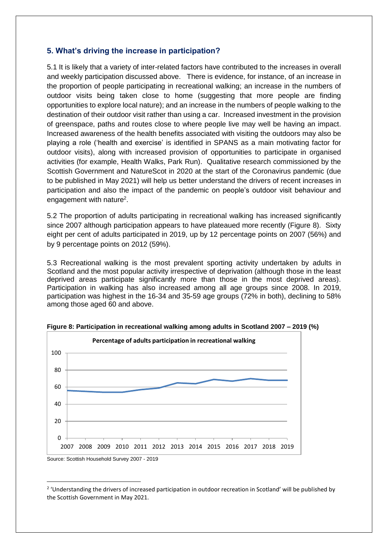#### **5. What's driving the increase in participation?**

5.1 It is likely that a variety of inter-related factors have contributed to the increases in overall and weekly participation discussed above. There is evidence, for instance, of an increase in the proportion of people participating in recreational walking; an increase in the numbers of outdoor visits being taken close to home (suggesting that more people are finding opportunities to explore local nature); and an increase in the numbers of people walking to the destination of their outdoor visit rather than using a car. Increased investment in the provision of greenspace, paths and routes close to where people live may well be having an impact. Increased awareness of the health benefits associated with visiting the outdoors may also be playing a role ('health and exercise' is identified in SPANS as a main motivating factor for outdoor visits), along with increased provision of opportunities to participate in organised activities (for example, Health Walks, Park Run). Qualitative research commissioned by the Scottish Government and NatureScot in 2020 at the start of the Coronavirus pandemic (due to be published in May 2021) will help us better understand the drivers of recent increases in participation and also the impact of the pandemic on people's outdoor visit behaviour and engagement with nature<sup>2</sup>.

5.2 The proportion of adults participating in recreational walking has increased significantly since 2007 although participation appears to have plateaued more recently (Figure 8). Sixty eight per cent of adults participated in 2019, up by 12 percentage points on 2007 (56%) and by 9 percentage points on 2012 (59%).

5.3 Recreational walking is the most prevalent sporting activity undertaken by adults in Scotland and the most popular activity irrespective of deprivation (although those in the least deprived areas participate significantly more than those in the most deprived areas). Participation in walking has also increased among all age groups since 2008. In 2019, participation was highest in the 16-34 and 35-59 age groups (72% in both), declining to 58% among those aged 60 and above.



1

**Figure 8: Participation in recreational walking among adults in Scotland 2007 – 2019 (%)**

<sup>&</sup>lt;sup>2</sup> 'Understanding the drivers of increased participation in outdoor recreation in Scotland' will be published by the Scottish Government in May 2021.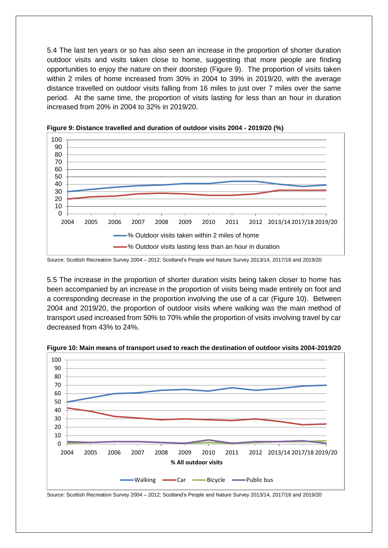5.4 The last ten years or so has also seen an increase in the proportion of shorter duration outdoor visits and visits taken close to home, suggesting that more people are finding opportunities to enjoy the nature on their doorstep (Figure 9). The proportion of visits taken within 2 miles of home increased from 30% in 2004 to 39% in 2019/20, with the average distance travelled on outdoor visits falling from 16 miles to just over 7 miles over the same period. At the same time, the proportion of visits lasting for less than an hour in duration increased from 20% in 2004 to 32% in 2019/20.





5.5 The increase in the proportion of shorter duration visits being taken closer to home has been accompanied by an increase in the proportion of visits being made entirely on foot and a corresponding decrease in the proportion involving the use of a car (Figure 10). Between 2004 and 2019/20, the proportion of outdoor visits where walking was the main method of transport used increased from 50% to 70% while the proportion of visits involving travel by car decreased from 43% to 24%.



**Figure 10: Main means of transport used to reach the destination of outdoor visits 2004-2019/20**

Source: Scottish Recreation Survey 2004 – 2012; Scotland's People and Nature Survey 2013/14, 2017/18 and 2019/20

Source: Scottish Recreation Survey 2004 – 2012; Scotland's People and Nature Survey 2013/14, 2017/18 and 2019/20